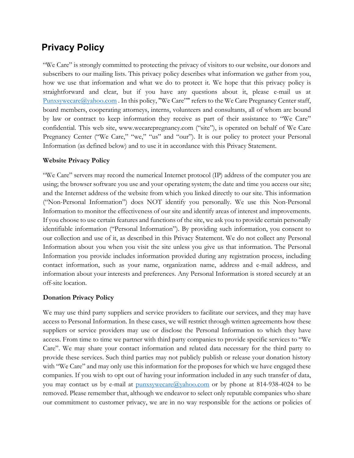# Privacy Policy

"We Care" is strongly committed to protecting the privacy of visitors to our website, our donors and subscribers to our mailing lists. This privacy policy describes what information we gather from you, how we use that information and what we do to protect it. We hope that this privacy policy is straightforward and clear, but if you have any questions about it, please e-mail us at Punxsywecare@yahoo.com . In this policy, "We Care"" refers to the We Care Pregnancy Center staff, board members, cooperating attorneys, interns, volunteers and consultants, all of whom are bound by law or contract to keep information they receive as part of their assistance to "We Care" confidential. This web site, www.wecarepregnancy.com ("site"), is operated on behalf of We Care Pregnancy Center ("We Care," "we," "us" and "our"). It is our policy to protect your Personal Information (as defined below) and to use it in accordance with this Privacy Statement.

# Website Privacy Policy

"We Care" servers may record the numerical Internet protocol (IP) address of the computer you are using; the browser software you use and your operating system; the date and time you access our site; and the Internet address of the website from which you linked directly to our site. This information ("Non-Personal Information") does NOT identify you personally. We use this Non-Personal Information to monitor the effectiveness of our site and identify areas of interest and improvements. If you choose to use certain features and functions of the site, we ask you to provide certain personally identifiable information ("Personal Information"). By providing such information, you consent to our collection and use of it, as described in this Privacy Statement. We do not collect any Personal Information about you when you visit the site unless you give us that information. The Personal Information you provide includes information provided during any registration process, including contact information, such as your name, organization name, address and e-mail address, and information about your interests and preferences. Any Personal Information is stored securely at an off-site location.

# Donation Privacy Policy

We may use third party suppliers and service providers to facilitate our services, and they may have access to Personal Information. In these cases, we will restrict through written agreements how these suppliers or service providers may use or disclose the Personal Information to which they have access. From time to time we partner with third party companies to provide specific services to "We Care". We may share your contact information and related data necessary for the third party to provide these services. Such third parties may not publicly publish or release your donation history with "We Care" and may only use this information for the proposes for which we have engaged these companies. If you wish to opt out of having your information included in any such transfer of data, you may contact us by e-mail at  $\frac{punxsywecare(Qyahoo.com)}{p}$  or by phone at 814-938-4024 to be removed. Please remember that, although we endeavor to select only reputable companies who share our commitment to customer privacy, we are in no way responsible for the actions or policies of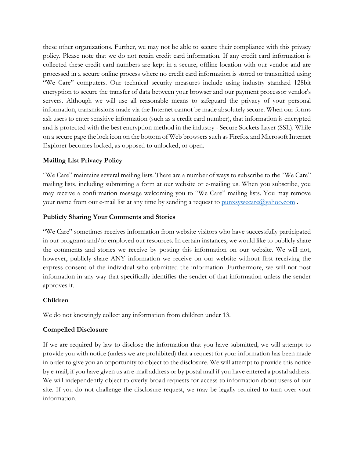these other organizations. Further, we may not be able to secure their compliance with this privacy policy. Please note that we do not retain credit card information. If any credit card information is collected these credit card numbers are kept in a secure, offline location with our vendor and are processed in a secure online process where no credit card information is stored or transmitted using "We Care" computers. Our technical security measures include using industry standard 128bit encryption to secure the transfer of data between your browser and our payment processor vendor's servers. Although we will use all reasonable means to safeguard the privacy of your personal information, transmissions made via the Internet cannot be made absolutely secure. When our forms ask users to enter sensitive information (such as a credit card number), that information is encrypted and is protected with the best encryption method in the industry - Secure Sockets Layer (SSL). While on a secure page the lock icon on the bottom of Web browsers such as Firefox and Microsoft Internet Explorer becomes locked, as opposed to unlocked, or open.

## Mailing List Privacy Policy

"We Care" maintains several mailing lists. There are a number of ways to subscribe to the "We Care" mailing lists, including submitting a form at our website or e-mailing us. When you subscribe, you may receive a confirmation message welcoming you to "We Care" mailing lists. You may remove your name from our e-mail list at any time by sending a request to  $\frac{p_{\text{unxsywecare}}(a_{\text{yahoo.com}})}{p_{\text{unxsywecare}}(a_{\text{yahoo.com}})}$ .

### Publicly Sharing Your Comments and Stories

"We Care" sometimes receives information from website visitors who have successfully participated in our programs and/or employed our resources. In certain instances, we would like to publicly share the comments and stories we receive by posting this information on our website. We will not, however, publicly share ANY information we receive on our website without first receiving the express consent of the individual who submitted the information. Furthermore, we will not post information in any way that specifically identifies the sender of that information unless the sender approves it.

### Children

We do not knowingly collect any information from children under 13.

### Compelled Disclosure

If we are required by law to disclose the information that you have submitted, we will attempt to provide you with notice (unless we are prohibited) that a request for your information has been made in order to give you an opportunity to object to the disclosure. We will attempt to provide this notice by e-mail, if you have given us an e-mail address or by postal mail if you have entered a postal address. We will independently object to overly broad requests for access to information about users of our site. If you do not challenge the disclosure request, we may be legally required to turn over your information.